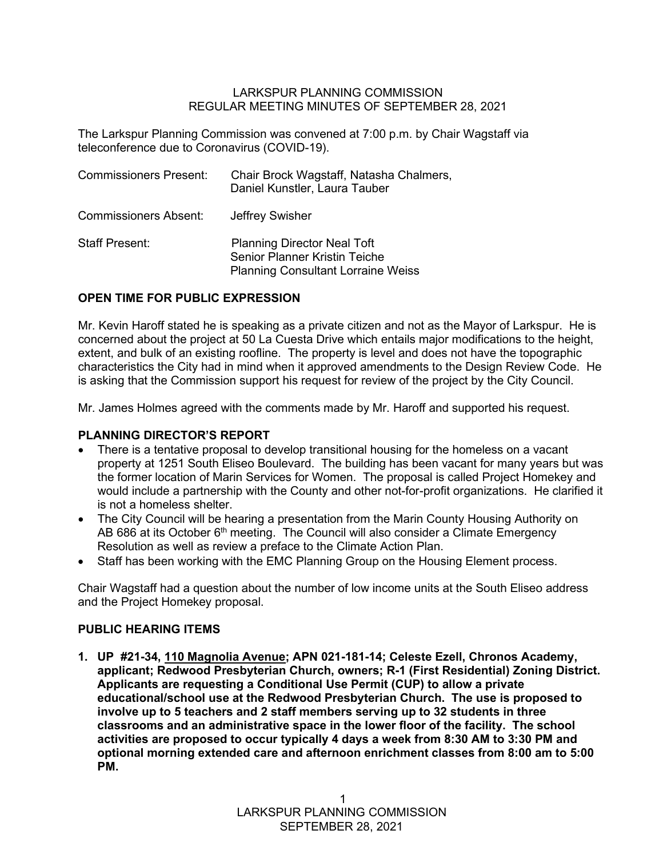#### LARKSPUR PLANNING COMMISSION REGULAR MEETING MINUTES OF SEPTEMBER 28, 2021

The Larkspur Planning Commission was convened at 7:00 p.m. by Chair Wagstaff via teleconference due to Coronavirus (COVID-19).

| <b>Commissioners Present:</b> | Chair Brock Wagstaff, Natasha Chalmers,<br>Daniel Kunstler, Laura Tauber                                         |
|-------------------------------|------------------------------------------------------------------------------------------------------------------|
| <b>Commissioners Absent:</b>  | Jeffrey Swisher                                                                                                  |
| <b>Staff Present:</b>         | <b>Planning Director Neal Toft</b><br>Senior Planner Kristin Teiche<br><b>Planning Consultant Lorraine Weiss</b> |

## **OPEN TIME FOR PUBLIC EXPRESSION**

Mr. Kevin Haroff stated he is speaking as a private citizen and not as the Mayor of Larkspur. He is concerned about the project at 50 La Cuesta Drive which entails major modifications to the height, extent, and bulk of an existing roofline. The property is level and does not have the topographic characteristics the City had in mind when it approved amendments to the Design Review Code. He is asking that the Commission support his request for review of the project by the City Council.

Mr. James Holmes agreed with the comments made by Mr. Haroff and supported his request.

### **PLANNING DIRECTOR'S REPORT**

- There is a tentative proposal to develop transitional housing for the homeless on a vacant property at 1251 South Eliseo Boulevard. The building has been vacant for many years but was the former location of Marin Services for Women. The proposal is called Project Homekey and would include a partnership with the County and other not-for-profit organizations. He clarified it is not a homeless shelter.
- The City Council will be hearing a presentation from the Marin County Housing Authority on AB 686 at its October  $6<sup>th</sup>$  meeting. The Council will also consider a Climate Emergency Resolution as well as review a preface to the Climate Action Plan.
- Staff has been working with the EMC Planning Group on the Housing Element process.

Chair Wagstaff had a question about the number of low income units at the South Eliseo address and the Project Homekey proposal.

### **PUBLIC HEARING ITEMS**

**1. UP #21-34, 110 Magnolia Avenue; APN 021-181-14; Celeste Ezell, Chronos Academy, applicant; Redwood Presbyterian Church, owners; R-1 (First Residential) Zoning District. Applicants are requesting a Conditional Use Permit (CUP) to allow a private educational/school use at the Redwood Presbyterian Church. The use is proposed to involve up to 5 teachers and 2 staff members serving up to 32 students in three classrooms and an administrative space in the lower floor of the facility. The school activities are proposed to occur typically 4 days a week from 8:30 AM to 3:30 PM and optional morning extended care and afternoon enrichment classes from 8:00 am to 5:00 PM.**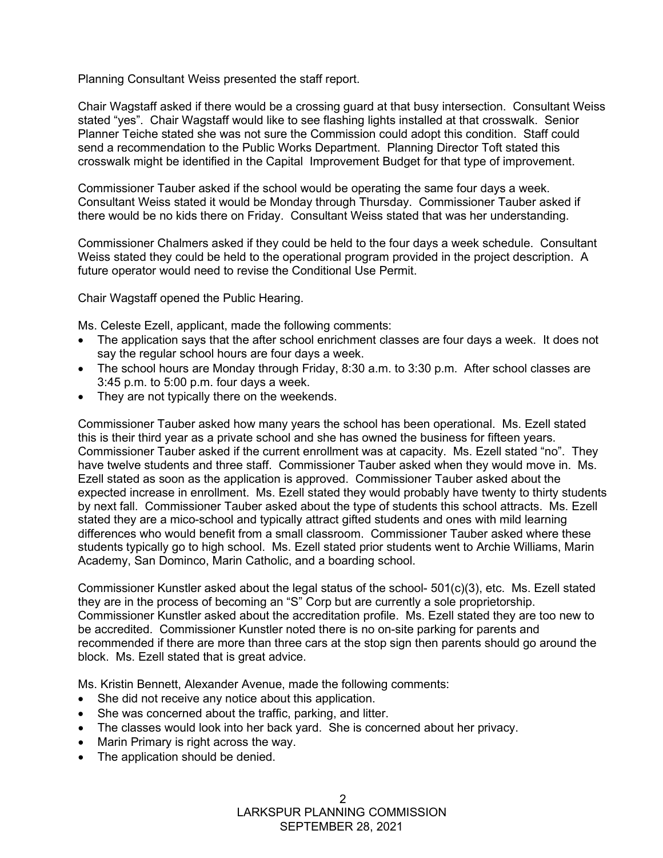Planning Consultant Weiss presented the staff report.

Chair Wagstaff asked if there would be a crossing guard at that busy intersection. Consultant Weiss stated "yes". Chair Wagstaff would like to see flashing lights installed at that crosswalk. Senior Planner Teiche stated she was not sure the Commission could adopt this condition. Staff could send a recommendation to the Public Works Department. Planning Director Toft stated this crosswalk might be identified in the Capital Improvement Budget for that type of improvement.

Commissioner Tauber asked if the school would be operating the same four days a week. Consultant Weiss stated it would be Monday through Thursday. Commissioner Tauber asked if there would be no kids there on Friday. Consultant Weiss stated that was her understanding.

Commissioner Chalmers asked if they could be held to the four days a week schedule. Consultant Weiss stated they could be held to the operational program provided in the project description. A future operator would need to revise the Conditional Use Permit.

Chair Wagstaff opened the Public Hearing.

Ms. Celeste Ezell, applicant, made the following comments:

- The application says that the after school enrichment classes are four days a week. It does not say the regular school hours are four days a week.
- The school hours are Monday through Friday, 8:30 a.m. to 3:30 p.m. After school classes are 3:45 p.m. to 5:00 p.m. four days a week.
- They are not typically there on the weekends.

Commissioner Tauber asked how many years the school has been operational. Ms. Ezell stated this is their third year as a private school and she has owned the business for fifteen years. Commissioner Tauber asked if the current enrollment was at capacity. Ms. Ezell stated "no". They have twelve students and three staff. Commissioner Tauber asked when they would move in. Ms. Ezell stated as soon as the application is approved. Commissioner Tauber asked about the expected increase in enrollment. Ms. Ezell stated they would probably have twenty to thirty students by next fall. Commissioner Tauber asked about the type of students this school attracts. Ms. Ezell stated they are a mico-school and typically attract gifted students and ones with mild learning differences who would benefit from a small classroom. Commissioner Tauber asked where these students typically go to high school. Ms. Ezell stated prior students went to Archie Williams, Marin Academy, San Dominco, Marin Catholic, and a boarding school.

Commissioner Kunstler asked about the legal status of the school- 501(c)(3), etc. Ms. Ezell stated they are in the process of becoming an "S" Corp but are currently a sole proprietorship. Commissioner Kunstler asked about the accreditation profile. Ms. Ezell stated they are too new to be accredited. Commissioner Kunstler noted there is no on-site parking for parents and recommended if there are more than three cars at the stop sign then parents should go around the block. Ms. Ezell stated that is great advice.

Ms. Kristin Bennett, Alexander Avenue, made the following comments:

- She did not receive any notice about this application.
- She was concerned about the traffic, parking, and litter.
- The classes would look into her back yard. She is concerned about her privacy.
- Marin Primary is right across the way.
- The application should be denied.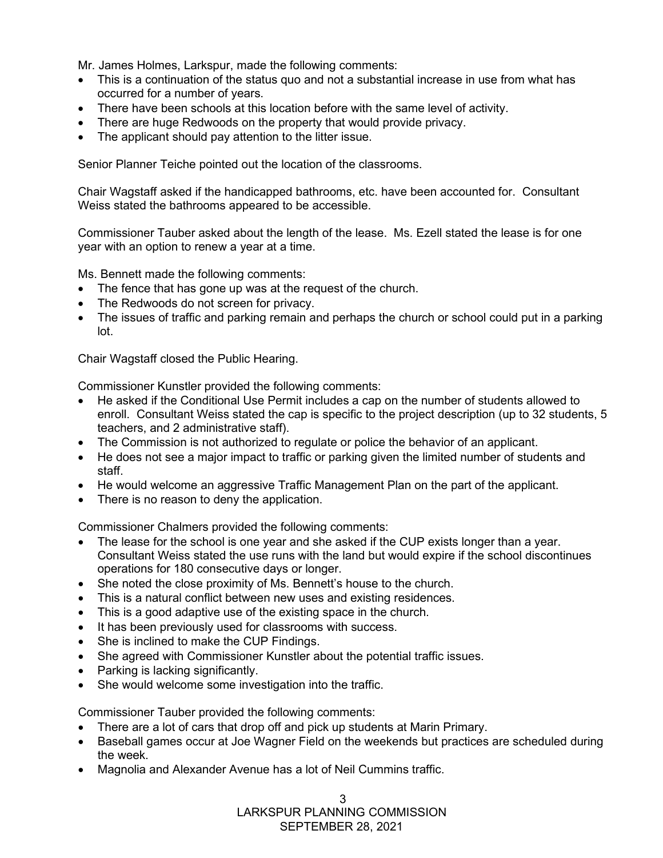Mr. James Holmes, Larkspur, made the following comments:

- This is a continuation of the status quo and not a substantial increase in use from what has occurred for a number of years.
- There have been schools at this location before with the same level of activity.
- There are huge Redwoods on the property that would provide privacy.
- The applicant should pay attention to the litter issue.

Senior Planner Teiche pointed out the location of the classrooms.

Chair Wagstaff asked if the handicapped bathrooms, etc. have been accounted for. Consultant Weiss stated the bathrooms appeared to be accessible.

Commissioner Tauber asked about the length of the lease. Ms. Ezell stated the lease is for one year with an option to renew a year at a time.

Ms. Bennett made the following comments:

- The fence that has gone up was at the request of the church.
- The Redwoods do not screen for privacy.
- The issues of traffic and parking remain and perhaps the church or school could put in a parking lot.

Chair Wagstaff closed the Public Hearing.

Commissioner Kunstler provided the following comments:

- He asked if the Conditional Use Permit includes a cap on the number of students allowed to enroll. Consultant Weiss stated the cap is specific to the project description (up to 32 students, 5 teachers, and 2 administrative staff).
- The Commission is not authorized to regulate or police the behavior of an applicant.
- He does not see a major impact to traffic or parking given the limited number of students and staff.
- He would welcome an aggressive Traffic Management Plan on the part of the applicant.
- There is no reason to deny the application.

Commissioner Chalmers provided the following comments:

- The lease for the school is one year and she asked if the CUP exists longer than a year. Consultant Weiss stated the use runs with the land but would expire if the school discontinues operations for 180 consecutive days or longer.
- She noted the close proximity of Ms. Bennett's house to the church.
- This is a natural conflict between new uses and existing residences.
- This is a good adaptive use of the existing space in the church.
- It has been previously used for classrooms with success.
- She is inclined to make the CUP Findings.
- She agreed with Commissioner Kunstler about the potential traffic issues.
- Parking is lacking significantly.
- She would welcome some investigation into the traffic.

Commissioner Tauber provided the following comments:

- There are a lot of cars that drop off and pick up students at Marin Primary.
- Baseball games occur at Joe Wagner Field on the weekends but practices are scheduled during the week.
- Magnolia and Alexander Avenue has a lot of Neil Cummins traffic.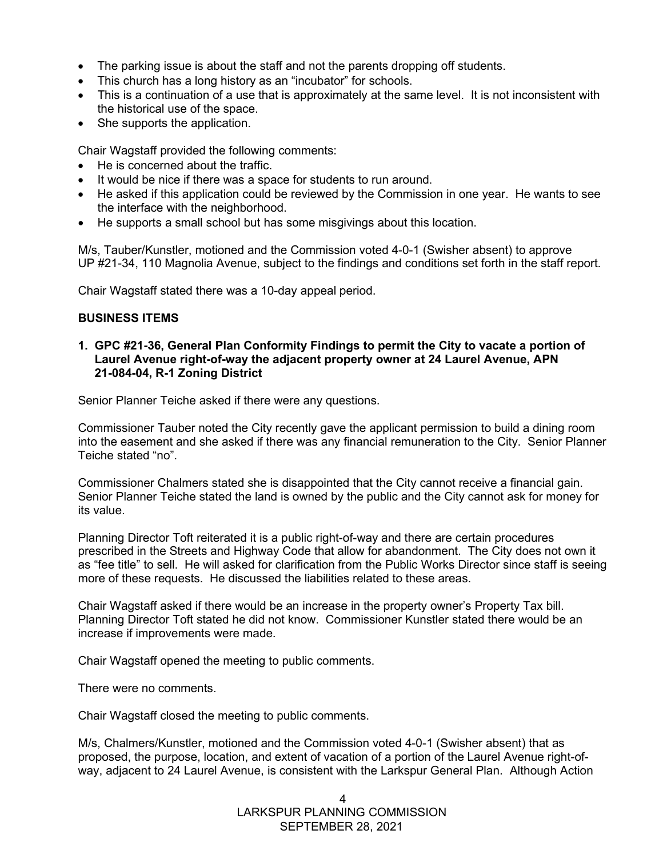- The parking issue is about the staff and not the parents dropping off students.
- This church has a long history as an "incubator" for schools.
- This is a continuation of a use that is approximately at the same level. It is not inconsistent with the historical use of the space.
- She supports the application.

Chair Wagstaff provided the following comments:

- He is concerned about the traffic.
- It would be nice if there was a space for students to run around.
- He asked if this application could be reviewed by the Commission in one year. He wants to see the interface with the neighborhood.
- He supports a small school but has some misgivings about this location.

M/s, Tauber/Kunstler, motioned and the Commission voted 4-0-1 (Swisher absent) to approve UP #21-34, 110 Magnolia Avenue, subject to the findings and conditions set forth in the staff report.

Chair Wagstaff stated there was a 10-day appeal period.

### **BUSINESS ITEMS**

**1. GPC #21-36, General Plan Conformity Findings to permit the City to vacate a portion of Laurel Avenue right-of-way the adjacent property owner at 24 Laurel Avenue, APN 21-084-04, R-1 Zoning District**

Senior Planner Teiche asked if there were any questions.

Commissioner Tauber noted the City recently gave the applicant permission to build a dining room into the easement and she asked if there was any financial remuneration to the City. Senior Planner Teiche stated "no".

Commissioner Chalmers stated she is disappointed that the City cannot receive a financial gain. Senior Planner Teiche stated the land is owned by the public and the City cannot ask for money for its value.

Planning Director Toft reiterated it is a public right-of-way and there are certain procedures prescribed in the Streets and Highway Code that allow for abandonment. The City does not own it as "fee title" to sell. He will asked for clarification from the Public Works Director since staff is seeing more of these requests. He discussed the liabilities related to these areas.

Chair Wagstaff asked if there would be an increase in the property owner's Property Tax bill. Planning Director Toft stated he did not know. Commissioner Kunstler stated there would be an increase if improvements were made.

Chair Wagstaff opened the meeting to public comments.

There were no comments.

Chair Wagstaff closed the meeting to public comments.

M/s, Chalmers/Kunstler, motioned and the Commission voted 4-0-1 (Swisher absent) that as proposed, the purpose, location, and extent of vacation of a portion of the Laurel Avenue right-ofway, adjacent to 24 Laurel Avenue, is consistent with the Larkspur General Plan. Although Action

> LARKSPUR PLANNING COMMISSION SEPTEMBER 28, 2021 4